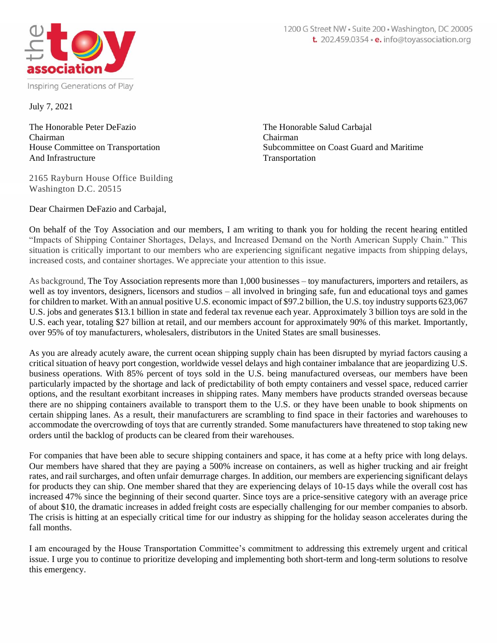

July 7, 2021

The Honorable Peter DeFazio The Honorable Salud Carbajal Chairman Chairman And Infrastructure Transportation

House Committee on Transportation Subcommittee on Coast Guard and Maritime

2165 Rayburn House Office Building Washington D.C. 20515

Dear Chairmen DeFazio and Carbajal,

On behalf of the Toy Association and our members, I am writing to thank you for holding the recent hearing entitled "Impacts of Shipping Container Shortages, Delays, and Increased Demand on the North American Supply Chain." This situation is critically important to our members who are experiencing significant negative impacts from shipping delays, increased costs, and container shortages. We appreciate your attention to this issue.

As background, The Toy Association represents more than 1,000 businesses – toy manufacturers, importers and retailers, as well as toy inventors, designers, licensors and studios – all involved in bringing safe, fun and educational toys and games for children to market. With an annual positive U.S. economic impact of \$97.2 billion, the U.S. toy industry supports 623,067 U.S. jobs and generates \$13.1 billion in state and federal tax revenue each year. Approximately 3 billion toys are sold in the U.S. each year, totaling \$27 billion at retail, and our members account for approximately 90% of this market. Importantly, over 95% of toy manufacturers, wholesalers, distributors in the United States are small businesses.

As you are already acutely aware, the current ocean shipping supply chain has been disrupted by myriad factors causing a critical situation of heavy port congestion, worldwide vessel delays and high container imbalance that are jeopardizing U.S. business operations. With 85% percent of toys sold in the U.S. being manufactured overseas, our members have been particularly impacted by the shortage and lack of predictability of both empty containers and vessel space, reduced carrier options, and the resultant exorbitant increases in shipping rates. Many members have products stranded overseas because there are no shipping containers available to transport them to the U.S. or they have been unable to book shipments on certain shipping lanes. As a result, their manufacturers are scrambling to find space in their factories and warehouses to accommodate the overcrowding of toys that are currently stranded. Some manufacturers have threatened to stop taking new orders until the backlog of products can be cleared from their warehouses.

For companies that have been able to secure shipping containers and space, it has come at a hefty price with long delays. Our members have shared that they are paying a 500% increase on containers, as well as higher trucking and air freight rates, and rail surcharges, and often unfair demurrage charges. In addition, our members are experiencing significant delays for products they can ship. One member shared that they are experiencing delays of 10-15 days while the overall cost has increased 47% since the beginning of their second quarter. Since toys are a price-sensitive category with an average price of about \$10, the dramatic increases in added freight costs are especially challenging for our member companies to absorb. The crisis is hitting at an especially critical time for our industry as shipping for the holiday season accelerates during the fall months.

I am encouraged by the House Transportation Committee's commitment to addressing this extremely urgent and critical issue. I urge you to continue to prioritize developing and implementing both short-term and long-term solutions to resolve this emergency.